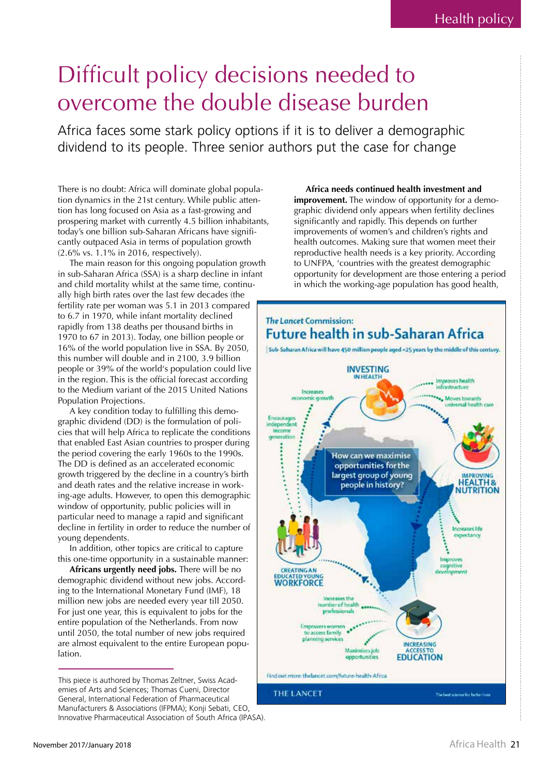## Difficult policy decisions needed to overcome the double disease burden

Africa faces some stark policy options if it is to deliver a demographic dividend to its people. Three senior authors put the case for change

There is no doubt: Africa will dominate global population dynamics in the 21st century. While public attention has long focused on Asia as a fast-growing and prospering market with currently 4.5 billion inhabitants, today's one billion sub-Saharan Africans have significantly outpaced Asia in terms of population growth (2.6% vs. 1.1% in 2016, respectively).

The main reason for this ongoing population growth in sub-Saharan Africa (SSA) is a sharp decline in infant and child mortality whilst at the same time, continually high birth rates over the last few decades (the fertility rate per woman was 5.1 in 2013 compared to 6.7 in 1970, while infant mortality declined rapidly from 138 deaths per thousand births in 1970 to 67 in 2013). Today, one billion people or 16% of the world population live in SSA. By 2050, this number will double and in 2100, 3.9 billion people or 39% of the world's population could live in the region. This is the official forecast according to the Medium variant of the 2015 United Nations Population Projections.

A key condition today to fulfilling this demographic dividend (DD) is the formulation of policies that will help Africa to replicate the conditions that enabled East Asian countries to prosper during the period covering the early 1960s to the 1990s. The DD is defined as an accelerated economic growth triggered by the decline in a country's birth and death rates and the relative increase in working-age adults. However, to open this demographic window of opportunity, public policies will in particular need to manage a rapid and significant decline in fertility in order to reduce the number of young dependents.

In addition, other topics are critical to capture this one-time opportunity in a sustainable manner:

Africans urgently need jobs. There will be no demographic dividend without new jobs. According to the International Monetary Fund (IMF), 18 million new jobs are needed every year till 2050. For just one year, this is equivalent to jobs for the entire population of the Netherlands. From now until 2050, the total number of new jobs required are almost equivalent to the entire European population.

Africa needs continued health investment and **improvement.** The window of opportunity for a demographic dividend only appears when fertility declines significantly and rapidly. This depends on further improvements of women's and children's rights and health outcomes. Making sure that women meet their reproductive health needs is a key priority. According to UNFPA, 'countries with the greatest demographic opportunity for development are those entering a period in which the working-age population has good health,



This piece is authored by Thomas Zeltner, Swiss Academies of Arts and Sciences; Thomas Cueni, Director General, International Federation of Pharmaceutical Manufacturers & Associations (IFPMA); Konji Sebati, CEO, Innovative Pharmaceutical Association of South Africa (IPASA).